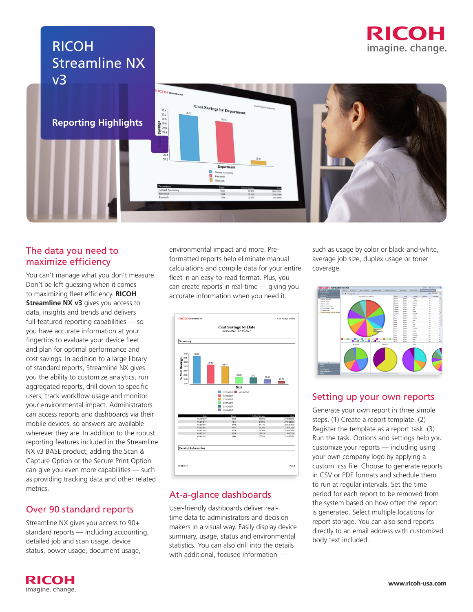# RICOH Streamline NX v3





Cost Savings by Departmen Departmen

## The data you need to maximize efficiency

You can't manage what you don't measure. Don't be left guessing when it comes to maximizing fleet efficiency. **RICOH Streamline NX v3** gives you access to data, insights and trends and delivers full-featured reporting capabilities — so you have accurate information at your fingertips to evaluate your device fleet and plan for optimal performance and cost savings. In addition to a large library of standard reports, Streamline NX gives you the ability to customize analytics, run aggregated reports, drill down to specific users, track workflow usage and monitor your environmental impact. Administrators can access reports and dashboards via their mobile devices, so answers are available wherever they are. In addition to the robust reporting features included in the Streamline NX v3 BASE product, adding the Scan & Capture Option or the Secure Print Option can give you even more capabilities — such as providing tracking data and other related metrics.

## Over 90 standard reports

Streamline NX gives you access to 90+ standard reports — including accounting, detailed job and scan usage, device status, power usage, document usage,

environmental impact and more. Preformatted reports help eliminate manual calculations and compile data for your entire fleet in an easy-to-read format. Plus, you can create reports in real-time — giving you accurate information when you need it.



## At-a-glance dashboards

User-friendly dashboards deliver realtime data to administrators and decision makers in a visual way. Easily display device summary, usage, status and environmental statistics. You can also drill into the details with additional, focused information —

such as usage by color or black-and-white, average job size, duplex usage or toner coverage.



## Setting up your own reports

Generate your own report in three simple steps. (1) Create a report template. (2) Register the template as a report task. (3) Run the task. Options and settings help you customize your reports — including using your own company logo by applying a custom .css file. Choose to generate reports in CSV or PDF formats and schedule them to run at regular intervals. Set the time period for each report to be removed from the system based on how often the report is generated. Select multiple locations for report storage. You can also send reports directly to an email address with customized body text included.